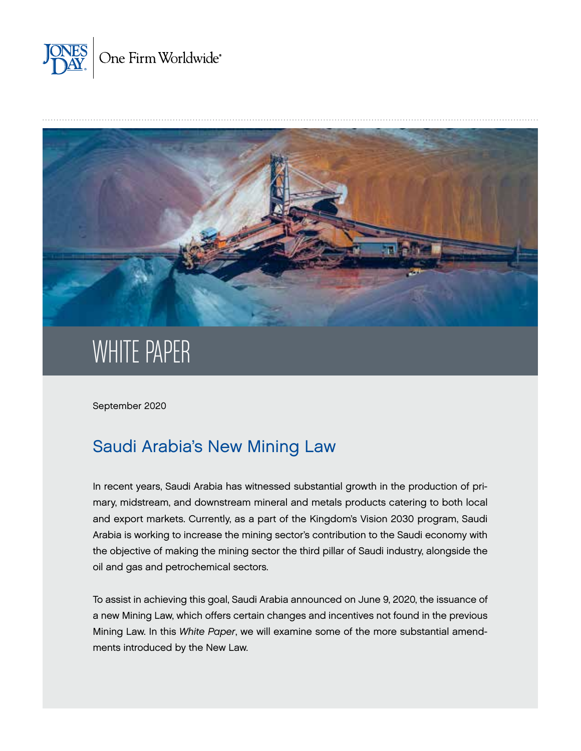



# WHITE PAPER

September 2020

# Saudi Arabia's New Mining Law

In recent years, Saudi Arabia has witnessed substantial growth in the production of primary, midstream, and downstream mineral and metals products catering to both local and export markets. Currently, as a part of the Kingdom's Vision 2030 program, Saudi Arabia is working to increase the mining sector's contribution to the Saudi economy with the objective of making the mining sector the third pillar of Saudi industry, alongside the oil and gas and petrochemical sectors.

To assist in achieving this goal, Saudi Arabia announced on June 9, 2020, the issuance of a new Mining Law, which offers certain changes and incentives not found in the previous Mining Law. In this *White Paper*, we will examine some of the more substantial amendments introduced by the New Law.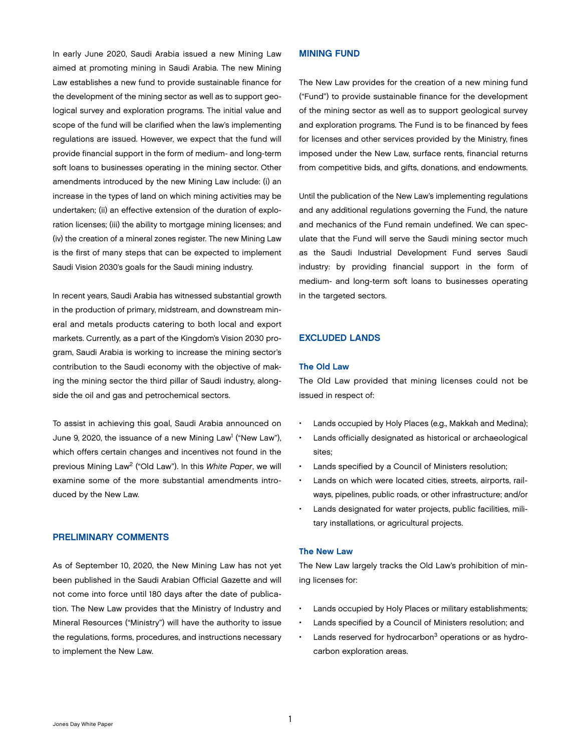In early June 2020, Saudi Arabia issued a new Mining Law aimed at promoting mining in Saudi Arabia. The new Mining Law establishes a new fund to provide sustainable finance for the development of the mining sector as well as to support geological survey and exploration programs. The initial value and scope of the fund will be clarified when the law's implementing regulations are issued. However, we expect that the fund will provide financial support in the form of medium- and long-term soft loans to businesses operating in the mining sector. Other amendments introduced by the new Mining Law include: (i) an increase in the types of land on which mining activities may be undertaken; (ii) an effective extension of the duration of exploration licenses; (iii) the ability to mortgage mining licenses; and (iv) the creation of a mineral zones register. The new Mining Law is the first of many steps that can be expected to implement Saudi Vision 2030's goals for the Saudi mining industry.

In recent years, Saudi Arabia has witnessed substantial growth in the production of primary, midstream, and downstream mineral and metals products catering to both local and export markets. Currently, as a part of the Kingdom's Vision 2030 program, Saudi Arabia is working to increase the mining sector's contribution to the Saudi economy with the objective of making the mining sector the third pillar of Saudi industry, alongside the oil and gas and petrochemical sectors.

To assist in achieving this goal, Saudi Arabia announced on June 9, 2020, the issuance of a new Mining Law<sup>1</sup> ("New Law"), which offers certain changes and incentives not found in the previous Mining Law2 ("Old Law"). In this *White Paper*, we will examine some of the more substantial amendments introduced by the New Law.

# PRELIMINARY COMMENTS

As of September 10, 2020, the New Mining Law has not yet been published in the Saudi Arabian Official Gazette and will not come into force until 180 days after the date of publication. The New Law provides that the Ministry of Industry and Mineral Resources ("Ministry") will have the authority to issue the regulations, forms, procedures, and instructions necessary to implement the New Law.

# MINING FUND

The New Law provides for the creation of a new mining fund ("Fund") to provide sustainable finance for the development of the mining sector as well as to support geological survey and exploration programs. The Fund is to be financed by fees for licenses and other services provided by the Ministry, fines imposed under the New Law, surface rents, financial returns from competitive bids, and gifts, donations, and endowments.

Until the publication of the New Law's implementing regulations and any additional regulations governing the Fund, the nature and mechanics of the Fund remain undefined. We can speculate that the Fund will serve the Saudi mining sector much as the Saudi Industrial Development Fund serves Saudi industry: by providing financial support in the form of medium- and long-term soft loans to businesses operating in the targeted sectors.

# EXCLUDED LANDS

# The Old Law

The Old Law provided that mining licenses could not be issued in respect of:

- Lands occupied by Holy Places (e.g., Makkah and Medina);
- Lands officially designated as historical or archaeological sites;
- Lands specified by a Council of Ministers resolution;
- Lands on which were located cities, streets, airports, railways, pipelines, public roads, or other infrastructure; and/or
- Lands designated for water projects, public facilities, military installations, or agricultural projects.

#### The New Law

The New Law largely tracks the Old Law's prohibition of mining licenses for:

- Lands occupied by Holy Places or military establishments;
- Lands specified by a Council of Ministers resolution; and
- Lands reserved for hydrocarbon<sup>3</sup> operations or as hydrocarbon exploration areas.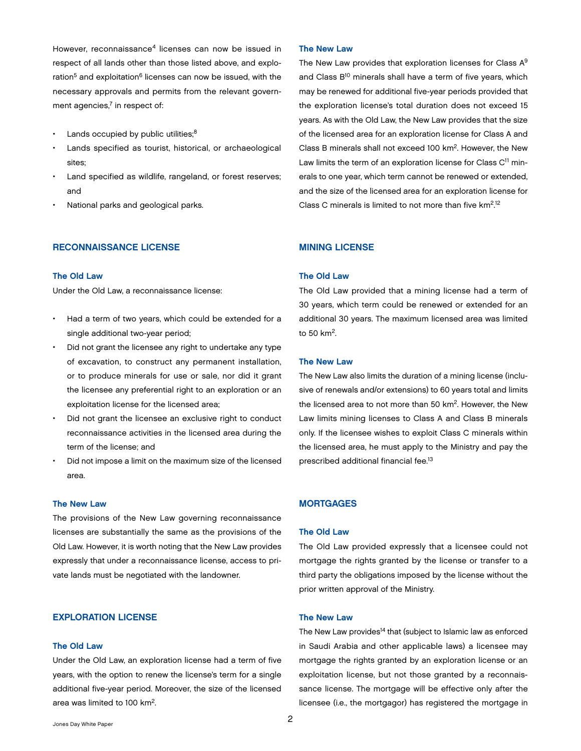However, reconnaissance<sup>4</sup> licenses can now be issued in respect of all lands other than those listed above, and exploration<sup>5</sup> and exploitation<sup>6</sup> licenses can now be issued, with the necessary approvals and permits from the relevant government agencies, $7$  in respect of:

- Lands occupied by public utilities;<sup>8</sup>
- Lands specified as tourist, historical, or archaeological sites;
- Land specified as wildlife, rangeland, or forest reserves; and
- National parks and geological parks.

#### RECONNAISSANCE LICENSE

## The Old Law

Under the Old Law, a reconnaissance license:

- Had a term of two years, which could be extended for a single additional two-year period;
- Did not grant the licensee any right to undertake any type of excavation, to construct any permanent installation, or to produce minerals for use or sale, nor did it grant the licensee any preferential right to an exploration or an exploitation license for the licensed area;
- Did not grant the licensee an exclusive right to conduct reconnaissance activities in the licensed area during the term of the license; and
- Did not impose a limit on the maximum size of the licensed area.

#### The New Law

The provisions of the New Law governing reconnaissance licenses are substantially the same as the provisions of the Old Law. However, it is worth noting that the New Law provides expressly that under a reconnaissance license, access to private lands must be negotiated with the landowner.

# EXPLORATION LICENSE

#### The Old Law

Under the Old Law, an exploration license had a term of five years, with the option to renew the license's term for a single additional five-year period. Moreover, the size of the licensed area was limited to 100 km2.

#### The New Law

The New Law provides that exploration licenses for Class A<sup>9</sup> and Class B<sup>10</sup> minerals shall have a term of five years, which may be renewed for additional five-year periods provided that the exploration license's total duration does not exceed 15 years. As with the Old Law, the New Law provides that the size of the licensed area for an exploration license for Class A and Class B minerals shall not exceed 100 km2. However, the New Law limits the term of an exploration license for Class  $C<sup>11</sup>$  minerals to one year, which term cannot be renewed or extended, and the size of the licensed area for an exploration license for Class C minerals is limited to not more than five  $km<sup>2,12</sup>$ 

#### MINING LICENSE

# The Old Law

The Old Law provided that a mining license had a term of 30 years, which term could be renewed or extended for an additional 30 years. The maximum licensed area was limited to 50 km2.

#### The New Law

The New Law also limits the duration of a mining license (inclusive of renewals and/or extensions) to 60 years total and limits the licensed area to not more than 50 km2. However, the New Law limits mining licenses to Class A and Class B minerals only. If the licensee wishes to exploit Class C minerals within the licensed area, he must apply to the Ministry and pay the prescribed additional financial fee.<sup>13</sup>

# **MORTGAGES**

## The Old Law

The Old Law provided expressly that a licensee could not mortgage the rights granted by the license or transfer to a third party the obligations imposed by the license without the prior written approval of the Ministry.

#### The New Law

The New Law provides<sup>14</sup> that (subject to Islamic law as enforced in Saudi Arabia and other applicable laws) a licensee may mortgage the rights granted by an exploration license or an exploitation license, but not those granted by a reconnaissance license. The mortgage will be effective only after the licensee (i.e., the mortgagor) has registered the mortgage in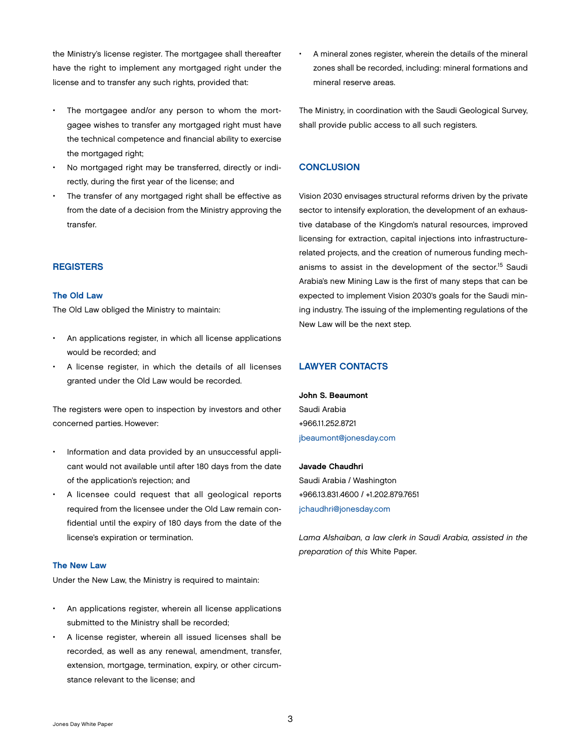the Ministry's license register. The mortgagee shall thereafter have the right to implement any mortgaged right under the license and to transfer any such rights, provided that:

- The mortgagee and/or any person to whom the mortgagee wishes to transfer any mortgaged right must have the technical competence and financial ability to exercise the mortgaged right;
- No mortgaged right may be transferred, directly or indirectly, during the first year of the license; and
- The transfer of any mortgaged right shall be effective as from the date of a decision from the Ministry approving the transfer.

# **REGISTERS**

#### The Old Law

The Old Law obliged the Ministry to maintain:

- An applications register, in which all license applications would be recorded; and
- A license register, in which the details of all licenses granted under the Old Law would be recorded.

The registers were open to inspection by investors and other concerned parties. However:

- Information and data provided by an unsuccessful applicant would not available until after 180 days from the date of the application's rejection; and
- A licensee could request that all geological reports required from the licensee under the Old Law remain confidential until the expiry of 180 days from the date of the license's expiration or termination.

#### The New Law

Under the New Law, the Ministry is required to maintain:

- An applications register, wherein all license applications submitted to the Ministry shall be recorded;
- A license register, wherein all issued licenses shall be recorded, as well as any renewal, amendment, transfer, extension, mortgage, termination, expiry, or other circumstance relevant to the license; and

• A mineral zones register, wherein the details of the mineral zones shall be recorded, including: mineral formations and mineral reserve areas.

The Ministry, in coordination with the Saudi Geological Survey, shall provide public access to all such registers.

# **CONCLUSION**

Vision 2030 envisages structural reforms driven by the private sector to intensify exploration, the development of an exhaustive database of the Kingdom's natural resources, improved licensing for extraction, capital injections into infrastructurerelated projects, and the creation of numerous funding mechanisms to assist in the development of the sector.15 Saudi Arabia's new Mining Law is the first of many steps that can be expected to implement Vision 2030's goals for the Saudi mining industry. The issuing of the implementing regulations of the New Law will be the next step.

# LAWYER CONTACTS

John S. Beaumont Saudi Arabia +966.11.252.8721 [jbeaumont@jonesday.com](mailto:jbeaumont@jonesday.com)

#### Javade Chaudhri

Saudi Arabia / Washington +966.13.831.4600 / +1.202.879.7651 [jchaudhri@jonesday.com](mailto:jchaudhri@jonesday.com)

*Lama Alshaiban, a law clerk in Saudi Arabia, assisted in the preparation of this* White Paper.